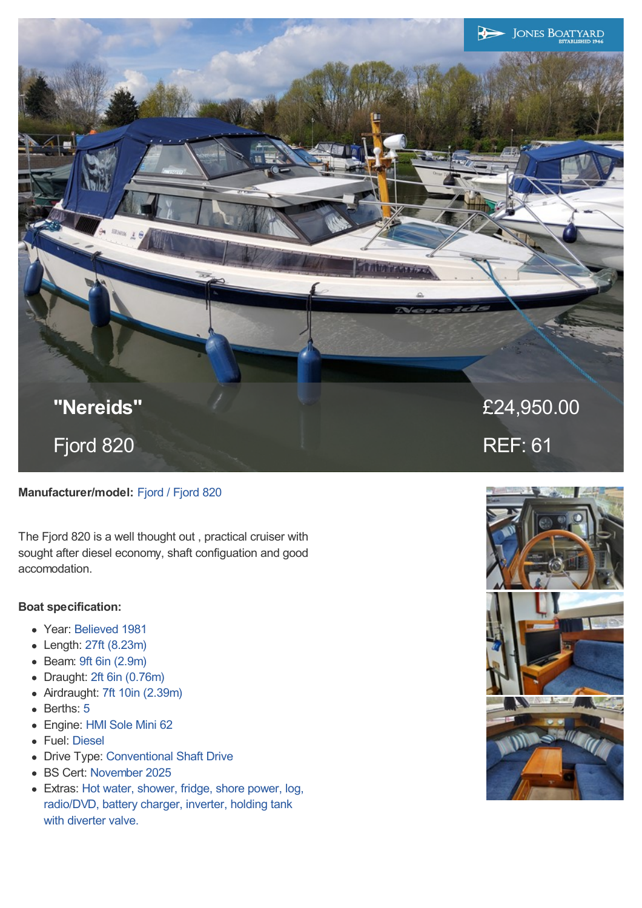

# **Manufacturer/model:** Fjord / Fjord 820

The Fjord 820 is a well thought out , practical cruiser with sought after diesel economy, shaft configuation and good accomodation.

## **Boat specification:**

- Year: Believed 1981
- Length: 27ft (8.23m)
- Beam: 9ft 6in (2.9m)
- Draught: 2ft 6in (0.76m)  $\bullet$
- Airdraught: 7ft 10in (2.39m)  $\bullet$
- Berths: 5  $\bullet$
- Engine: HMI Sole Mini 62
- Fuel: Diesel
- Drive Type: Conventional Shaft Drive
- BS Cert: November 2025
- Extras: Hot water, shower, fridge, shore power, log, radio/DVD, battery charger, inverter, holding tank with diverter valve.